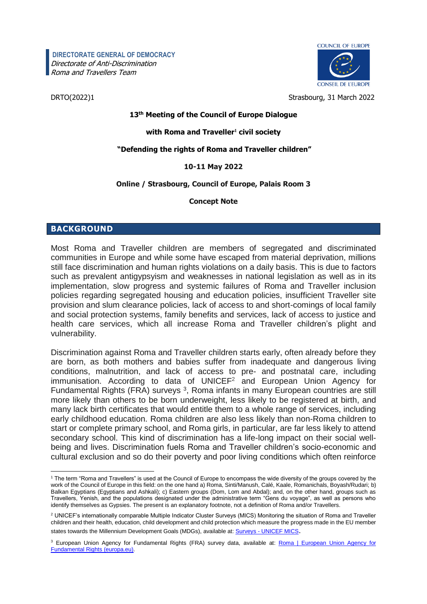**DIRECTORATE GENERAL OF DEMOCRACY** Directorate of Anti-Discrimination Roma and Travellers Team



COUNCIL OF FUROPE **CONSEIL DE L'EUROPE** 

DRTO(2022)1 Strasbourg, 31 March 2022

### **13 th Meeting of the Council of Europe Dialogue**

#### **with Roma and Traveller<sup>1</sup> civil society**

#### **"Defending the rights of Roma and Traveller children"**

#### **10-11 May 2022**

#### **Online / Strasbourg, Council of Europe, Palais Room 3**

#### **Concept Note**

# **BACKGROUND**

Most Roma and Traveller children are members of segregated and discriminated communities in Europe and while some have escaped from material deprivation, millions still face discrimination and human rights violations on a daily basis. This is due to factors such as prevalent antigypsyism and weaknesses in national legislation as well as in its implementation, slow progress and systemic failures of Roma and Traveller inclusion policies regarding segregated housing and education policies, insufficient Traveller site provision and slum clearance policies, lack of access to and short-comings of local family and social protection systems, family benefits and services, lack of access to justice and health care services, which all increase Roma and Traveller children's plight and vulnerability.

Discrimination against Roma and Traveller children starts early, often already before they are born, as both mothers and babies suffer from inadequate and dangerous living conditions, malnutrition, and lack of access to pre- and postnatal care, including immunisation. According to data of UNICEF<sup>2</sup> and European Union Agency for Fundamental Rights (FRA) surveys<sup>3</sup>, Roma infants in many European countries are still more likely than others to be born underweight, less likely to be registered at birth, and many lack birth certificates that would entitle them to a whole range of services, including early childhood education. Roma children are also less likely than non-Roma children to start or complete primary school, and Roma girls, in particular, are far less likely to attend secondary school. This kind of discrimination has a life-long impact on their social wellbeing and lives. Discrimination fuels Roma and Traveller children's socio-economic and cultural exclusion and so do their poverty and poor living conditions which often reinforce

l <sup>1</sup> The term "Roma and Travellers" is used at the Council of Europe to encompass the wide diversity of the groups covered by the work of the Council of Europe in this field: on the one hand a) Roma, Sinti/Manush, Calé, Kaale, Romanichals, Boyash/Rudari; b) Balkan Egyptians (Egyptians and Ashkali); c) Eastern groups (Dom, Lom and Abdal); and, on the other hand, groups such as Travellers, Yenish, and the populations designated under the administrative term "Gens du voyage", as well as persons who identify themselves as Gypsies. The present is an explanatory footnote, not a definition of Roma and/or Travellers.

<sup>2</sup> UNICEF's internationally comparable Multiple Indicator Cluster Surveys (MICS) Monitoring the situation of Roma and Traveller children and their health, education, child development and child protection which measure the progress made in the EU member states towards the Millennium Development Goals (MDGs), available at: Surveys - [UNICEF MICS](https://mics.unicef.org/surveys).

<sup>&</sup>lt;sup>3</sup> European Union Agency for Fundamental Rights (FRA) survey data, available at: **Roma | European Union Agency for** [Fundamental Rights \(europa.eu\)](https://fra.europa.eu/en/themes/roma).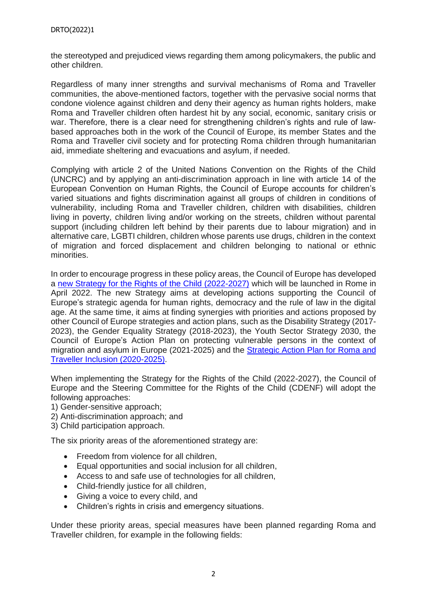the stereotyped and prejudiced views regarding them among policymakers, the public and other children.

Regardless of many inner strengths and survival mechanisms of Roma and Traveller communities, the above-mentioned factors, together with the pervasive social norms that condone violence against children and deny their agency as human rights holders, make Roma and Traveller children often hardest hit by any social, economic, sanitary crisis or war. Therefore, there is a clear need for strengthening children's rights and rule of lawbased approaches both in the work of the Council of Europe, its member States and the Roma and Traveller civil society and for protecting Roma children through humanitarian aid, immediate sheltering and evacuations and asylum, if needed.

Complying with article 2 of the United Nations Convention on the Rights of the Child (UNCRC) and by applying an anti-discrimination approach in line with article 14 of the European Convention on Human Rights, the Council of Europe accounts for children's varied situations and fights discrimination against all groups of children in conditions of vulnerability, including Roma and Traveller children, children with disabilities, children living in poverty, children living and/or working on the streets, children without parental support (including children left behind by their parents due to labour migration) and in alternative care, LGBTI children, children whose parents use drugs, children in the context of migration and forced displacement and children belonging to national or ethnic minorities.

In order to encourage progress in these policy areas, the Council of Europe has developed a [new Strategy for the Rights of the Child \(2022-2027\)](https://www.coe.int/en/web/portal/-/the-new-strategy-for-the-rights-of-the-child-2022-2027-adopted-by-the-committee-of-ministers) which will be launched in Rome in April 2022. The new Strategy aims at developing actions supporting the Council of Europe's strategic agenda for human rights, democracy and the rule of law in the digital age. At the same time, it aims at finding synergies with priorities and actions proposed by other Council of Europe strategies and action plans, such as the Disability Strategy (2017- 2023), the Gender Equality Strategy (2018-2023), the Youth Sector Strategy 2030, the Council of Europe's Action Plan on protecting vulnerable persons in the context of migration and asylum in Europe (2021-2025) and the [Strategic Action Plan for Roma and](https://rm.coe.int/coe-strategic-action-plan-for-roma-and-traveller-inclusion-en/16809fe0d0)  [Traveller Inclusion \(2020-2025\).](https://rm.coe.int/coe-strategic-action-plan-for-roma-and-traveller-inclusion-en/16809fe0d0)

When implementing the Strategy for the Rights of the Child (2022-2027), the Council of Europe and the Steering Committee for the Rights of the Child (CDENF) will adopt the following approaches:

- 1) Gender-sensitive approach;
- 2) Anti-discrimination approach; and
- 3) Child participation approach.

The six priority areas of the aforementioned strategy are:

- Freedom from violence for all children,
- Equal opportunities and social inclusion for all children,
- Access to and safe use of technologies for all children,
- Child-friendly justice for all children,
- Giving a voice to every child, and
- Children's rights in crisis and emergency situations.

Under these priority areas, special measures have been planned regarding Roma and Traveller children, for example in the following fields: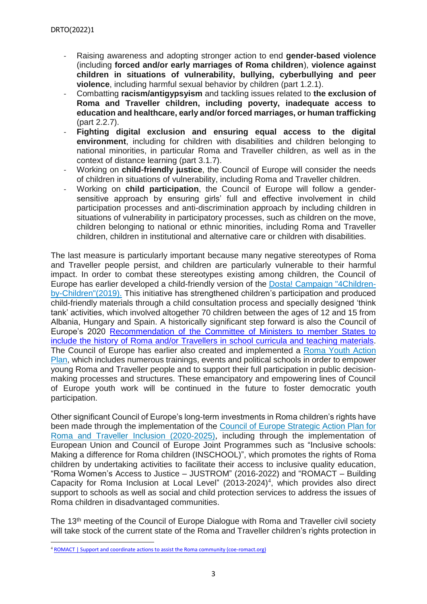- Raising awareness and adopting stronger action to end **gender-based violence** (including **forced and/or early marriages of Roma children**), **violence against children in situations of vulnerability, bullying, cyberbullying and peer violence**, including harmful sexual behavior by children (part 1.2.1).
- Combatting **racism/antigypsyism** and tackling issues related to **the exclusion of Roma and Traveller children, including poverty, inadequate access to education and healthcare, early and/or forced marriages, or human trafficking** (part 2.2.7).
- **Fighting digital exclusion and ensuring equal access to the digital environment**, including for children with disabilities and children belonging to national minorities, in particular Roma and Traveller children, as well as in the context of distance learning (part 3.1.7).
- Working on **child-friendly justice**, the Council of Europe will consider the needs of children in situations of vulnerability, including Roma and Traveller children.
- Working on **child participation**, the Council of Europe will follow a gendersensitive approach by ensuring girls' full and effective involvement in child participation processes and anti-discrimination approach by including children in situations of vulnerability in participatory processes, such as children on the move, children belonging to national or ethnic minorities, including Roma and Traveller children, children in institutional and alternative care or children with disabilities.

The last measure is particularly important because many negative stereotypes of Roma and Traveller people persist, and children are particularly vulnerable to their harmful impact. In order to combat these stereotypes existing among children, the Council of Europe has earlier developed a child-friendly version of the [Dosta! Campaign "4Children](https://www.coe.int/en/web/roma-and-travellers/dosta-child-friendly-campaign)[by-Children"\(2019\).](https://www.coe.int/en/web/roma-and-travellers/dosta-child-friendly-campaign) This initiative has strengthened children's participation and produced child-friendly materials through a child consultation process and specially designed 'think tank' activities, which involved altogether 70 children between the ages of 12 and 15 from Albania, Hungary and Spain. A historically significant step forward is also the Council of Europe's 2020 [Recommendation of the Committee of Ministers to member States to](https://u7061146.ct.sendgrid.net/ls/click?upn=4tNED-2FM8iDZJQyQ53jATUeHaQA3aTeS721r5HKUgy20AdLsGY30EBa6NzQ6kM3sgMtyjCsYN9DwEhtpwLoYQQw9FzVpNEDtCIYHKSIQ8Fl54kmdfx-2FTWpQrTsANqPv3oQ6-2FjqUDd-2FyCgXScHt2xspJCpgP3n239oBvf2irwG4Dw-3D9HcR_WnOTQN3ryhDAH6QOfRZjamYaFyLu2lnoWcO5irIKtrpS5p-2BqDUDU1dbFs3H25Yz73rJHVQdtYKLULxF2pLhxwm5tDvVKFVNbhBriXu6jG-2FQ-2BkMhee9Kb4jOp13YTxkpnTIFKw-2FH0F4v83qWJDa-2Bpj2ROqZRHFDWprNa5ht2mBM6w0XGJFbPNhtclKp549GygNU0reOtVWOOPn57BsSIqplXwn7ErOWXYFwM3g-2B7I5CNKKe0wGEKImfY0uK7wL3xf7YGx14QtftcJlLRR-2FhQPb1Jg7-2FfLqAggLhIHIKft496CXq0oahUWWFsGlRahSidVD-2BfC8h6EYzyRdsC5BF81vt4yAHM7k6atunhvhYiNWQs-3D)  [include the history of Roma and/or Travellers in school curricula and teaching materials.](https://u7061146.ct.sendgrid.net/ls/click?upn=4tNED-2FM8iDZJQyQ53jATUeHaQA3aTeS721r5HKUgy20AdLsGY30EBa6NzQ6kM3sgMtyjCsYN9DwEhtpwLoYQQw9FzVpNEDtCIYHKSIQ8Fl54kmdfx-2FTWpQrTsANqPv3oQ6-2FjqUDd-2FyCgXScHt2xspJCpgP3n239oBvf2irwG4Dw-3D9HcR_WnOTQN3ryhDAH6QOfRZjamYaFyLu2lnoWcO5irIKtrpS5p-2BqDUDU1dbFs3H25Yz73rJHVQdtYKLULxF2pLhxwm5tDvVKFVNbhBriXu6jG-2FQ-2BkMhee9Kb4jOp13YTxkpnTIFKw-2FH0F4v83qWJDa-2Bpj2ROqZRHFDWprNa5ht2mBM6w0XGJFbPNhtclKp549GygNU0reOtVWOOPn57BsSIqplXwn7ErOWXYFwM3g-2B7I5CNKKe0wGEKImfY0uK7wL3xf7YGx14QtftcJlLRR-2FhQPb1Jg7-2FfLqAggLhIHIKft496CXq0oahUWWFsGlRahSidVD-2BfC8h6EYzyRdsC5BF81vt4yAHM7k6atunhvhYiNWQs-3D) The Council of Europe has earlier also created and implemented a [Roma Youth Action](http://enter.coe.int/roma)  [Plan,](http://enter.coe.int/roma) which includes numerous trainings, events and political schools in order to empower young Roma and Traveller people and to support their full participation in public decisionmaking processes and structures. These emancipatory and empowering lines of Council of Europe youth work will be continued in the future to foster democratic youth participation.

Other significant Council of Europe's long-term investments in Roma children's rights have been made through the implementation of the [Council of Europe Strategic Action Plan for](https://rm.coe.int/coe-strategic-action-plan-for-roma-and-traveller-inclusion-en/16809fe0d0)  [Roma and Traveller Inclusion \(2020-2025\),](https://rm.coe.int/coe-strategic-action-plan-for-roma-and-traveller-inclusion-en/16809fe0d0) including through the implementation of European Union and Council of Europe Joint Programmes such as "Inclusive schools: Making a difference for Roma children (INSCHOOL)", which promotes the rights of Roma children by undertaking activities to facilitate their access to inclusive quality education, "Roma Women's Access to Justice – JUSTROM" (2016-2022) and "ROMACT – Building Capacity for Roma Inclusion at Local Level"  $(2013{\text -}2024)^4$ , which provides also direct support to schools as well as social and child protection services to address the issues of Roma children in disadvantaged communities.

The 13<sup>th</sup> meeting of the Council of Europe Dialogue with Roma and Traveller civil society will take stock of the current state of the Roma and Traveller children's rights protection in

 $\overline{a}$ 

<sup>&</sup>lt;sup>4</sup> [ROMACT | Support and coordinate actions to assist the Roma community \(coe-romact.org\)](https://coe-romact.org/)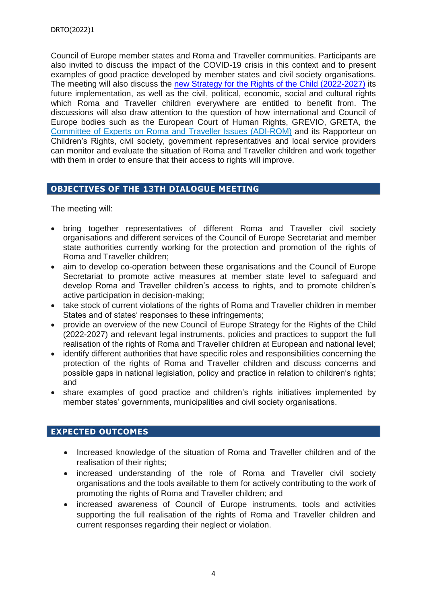Council of Europe member states and Roma and Traveller communities. Participants are also invited to discuss the impact of the COVID-19 crisis in this context and to present examples of good practice developed by member states and civil society organisations. The meeting will also discuss the [new Strategy for the Rights of the Child \(2022-2027\)](https://www.coe.int/en/web/portal/-/the-new-strategy-for-the-rights-of-the-child-2022-2027-adopted-by-the-committee-of-ministers) its future implementation, as well as the civil, political, economic, social and cultural rights which Roma and Traveller children everywhere are entitled to benefit from. The discussions will also draw attention to the question of how international and Council of Europe bodies such as the European Court of Human Rights, GREVIO, GRETA, the [Committee of Experts on Roma and Traveller Issues \(ADI-ROM\)](https://www.coe.int/en/web/roma-and-travellers/composition) and its Rapporteur on Children's Rights, civil society, government representatives and local service providers can monitor and evaluate the situation of Roma and Traveller children and work together with them in order to ensure that their access to rights will improve.

# **OBJECTIVES OF THE 13TH DIALOGUE MEETING**

The meeting will:

- bring together representatives of different Roma and Traveller civil society organisations and different services of the Council of Europe Secretariat and member state authorities currently working for the protection and promotion of the rights of Roma and Traveller children;
- aim to develop co-operation between these organisations and the Council of Europe Secretariat to promote active measures at member state level to safeguard and develop Roma and Traveller children's access to rights, and to promote children's active participation in decision-making;
- take stock of current violations of the rights of Roma and Traveller children in member States and of states' responses to these infringements;
- provide an overview of the new Council of Europe Strategy for the Rights of the Child (2022-2027) and relevant legal instruments, policies and practices to support the full realisation of the rights of Roma and Traveller children at European and national level;
- identify different authorities that have specific roles and responsibilities concerning the protection of the rights of Roma and Traveller children and discuss concerns and possible gaps in national legislation, policy and practice in relation to children's rights; and
- share examples of good practice and children's rights initiatives implemented by member states' governments, municipalities and civil society organisations.

# **EXPECTED OUTCOMES**

- Increased knowledge of the situation of Roma and Traveller children and of the realisation of their rights;
- increased understanding of the role of Roma and Traveller civil society organisations and the tools available to them for actively contributing to the work of promoting the rights of Roma and Traveller children; and
- increased awareness of Council of Europe instruments, tools and activities supporting the full realisation of the rights of Roma and Traveller children and current responses regarding their neglect or violation.